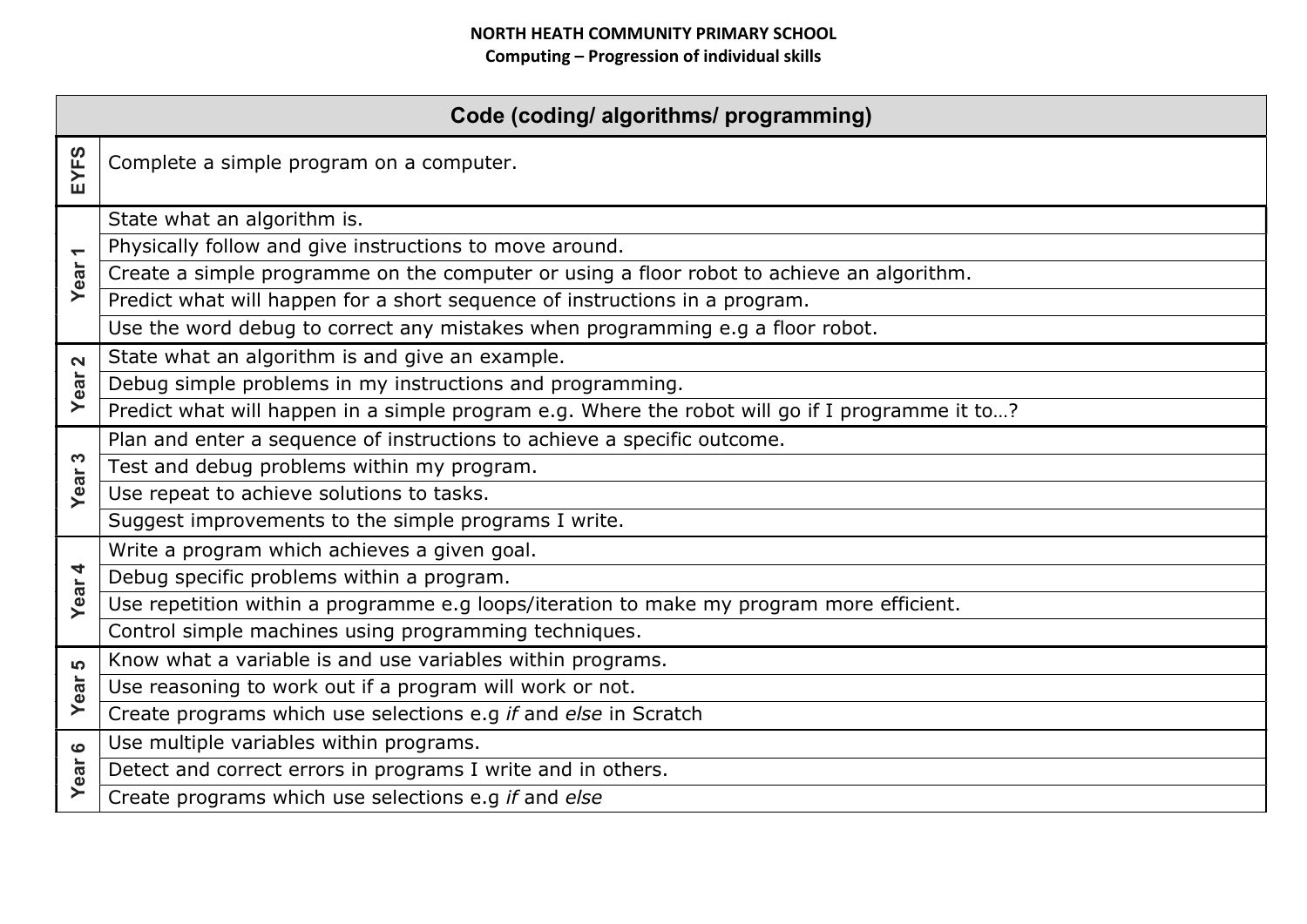| Code (coding/ algorithms/ programming) |                                                                                                 |  |
|----------------------------------------|-------------------------------------------------------------------------------------------------|--|
| EYFS                                   | Complete a simple program on a computer.                                                        |  |
| $\overline{\phantom{0}}$               | State what an algorithm is.                                                                     |  |
|                                        | Physically follow and give instructions to move around.                                         |  |
| Year                                   | Create a simple programme on the computer or using a floor robot to achieve an algorithm.       |  |
|                                        | Predict what will happen for a short sequence of instructions in a program.                     |  |
|                                        | Use the word debug to correct any mistakes when programming e.g a floor robot.                  |  |
| $\mathbf{\Omega}$                      | State what an algorithm is and give an example.                                                 |  |
| Year                                   | Debug simple problems in my instructions and programming.                                       |  |
|                                        | Predict what will happen in a simple program e.g. Where the robot will go if I programme it to? |  |
|                                        | Plan and enter a sequence of instructions to achieve a specific outcome.                        |  |
| S                                      | Test and debug problems within my program.                                                      |  |
| <b>Year</b>                            | Use repeat to achieve solutions to tasks.                                                       |  |
|                                        | Suggest improvements to the simple programs I write.                                            |  |
|                                        | Write a program which achieves a given goal.                                                    |  |
| Year 4                                 | Debug specific problems within a program.                                                       |  |
|                                        | Use repetition within a programme e.g loops/iteration to make my program more efficient.        |  |
|                                        | Control simple machines using programming techniques.                                           |  |
| LO.                                    | Know what a variable is and use variables within programs.                                      |  |
| Year                                   | Use reasoning to work out if a program will work or not.                                        |  |
|                                        | Create programs which use selections e.g if and else in Scratch                                 |  |
| $\bullet$                              | Use multiple variables within programs.                                                         |  |
| Year                                   | Detect and correct errors in programs I write and in others.                                    |  |
|                                        | Create programs which use selections e.g if and else                                            |  |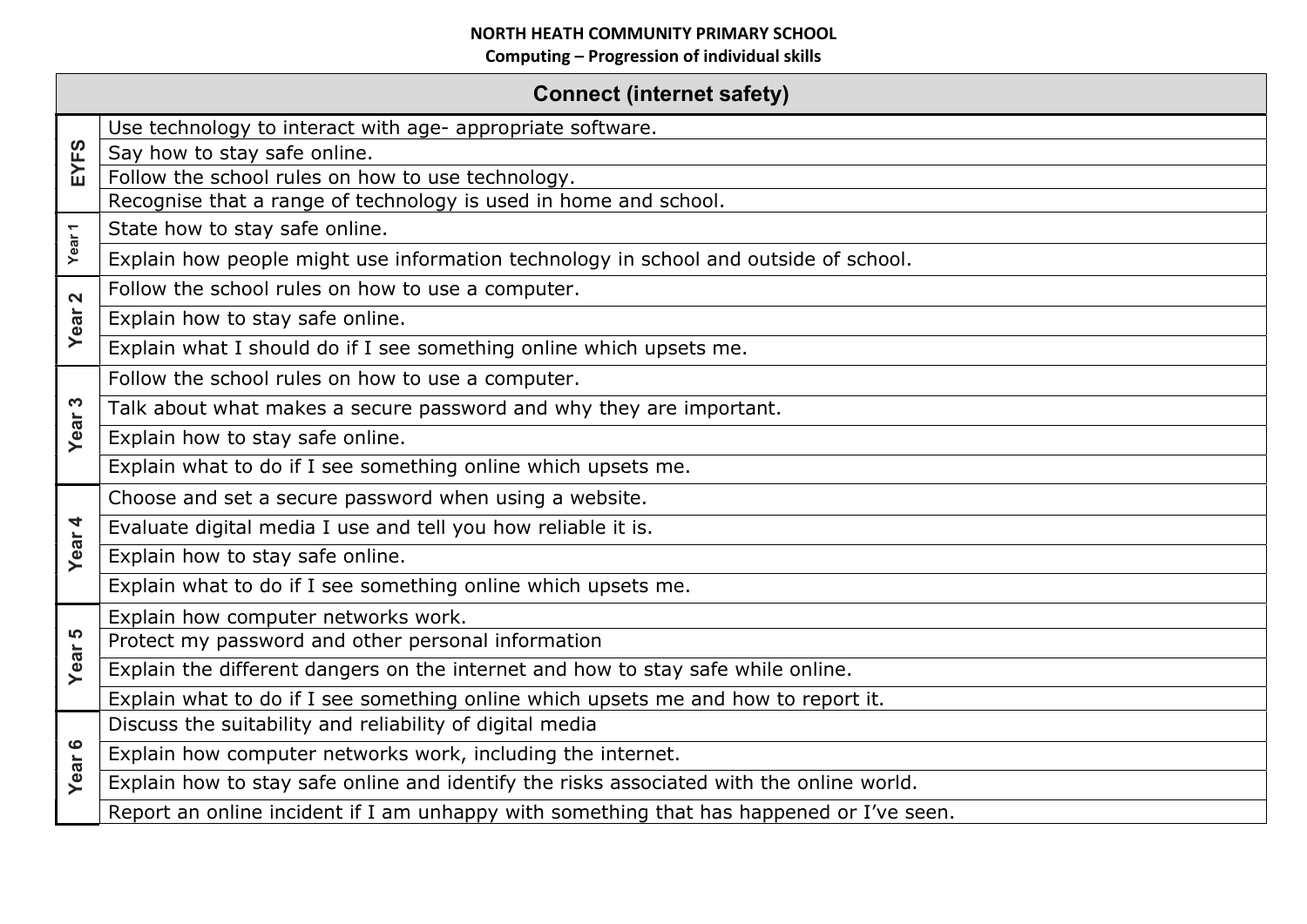| <b>Connect (internet safety)</b> |                                                                                          |  |
|----------------------------------|------------------------------------------------------------------------------------------|--|
| EYFS                             | Use technology to interact with age- appropriate software.                               |  |
|                                  | Say how to stay safe online.                                                             |  |
|                                  | Follow the school rules on how to use technology.                                        |  |
|                                  | Recognise that a range of technology is used in home and school.                         |  |
| Year <sub>1</sub>                | State how to stay safe online.                                                           |  |
|                                  | Explain how people might use information technology in school and outside of school.     |  |
| $\mathbf{\Omega}$<br>Year        | Follow the school rules on how to use a computer.                                        |  |
|                                  | Explain how to stay safe online.                                                         |  |
|                                  | Explain what I should do if I see something online which upsets me.                      |  |
|                                  | Follow the school rules on how to use a computer.                                        |  |
| က<br>Year                        | Talk about what makes a secure password and why they are important.                      |  |
|                                  | Explain how to stay safe online.                                                         |  |
|                                  | Explain what to do if I see something online which upsets me.                            |  |
|                                  | Choose and set a secure password when using a website.                                   |  |
| Year 4                           | Evaluate digital media I use and tell you how reliable it is.                            |  |
|                                  | Explain how to stay safe online.                                                         |  |
|                                  | Explain what to do if I see something online which upsets me.                            |  |
|                                  | Explain how computer networks work.                                                      |  |
| 5                                | Protect my password and other personal information                                       |  |
| Year                             | Explain the different dangers on the internet and how to stay safe while online.         |  |
|                                  | Explain what to do if I see something online which upsets me and how to report it.       |  |
| Year 6                           | Discuss the suitability and reliability of digital media                                 |  |
|                                  | Explain how computer networks work, including the internet.                              |  |
|                                  | Explain how to stay safe online and identify the risks associated with the online world. |  |
|                                  | Report an online incident if I am unhappy with something that has happened or I've seen. |  |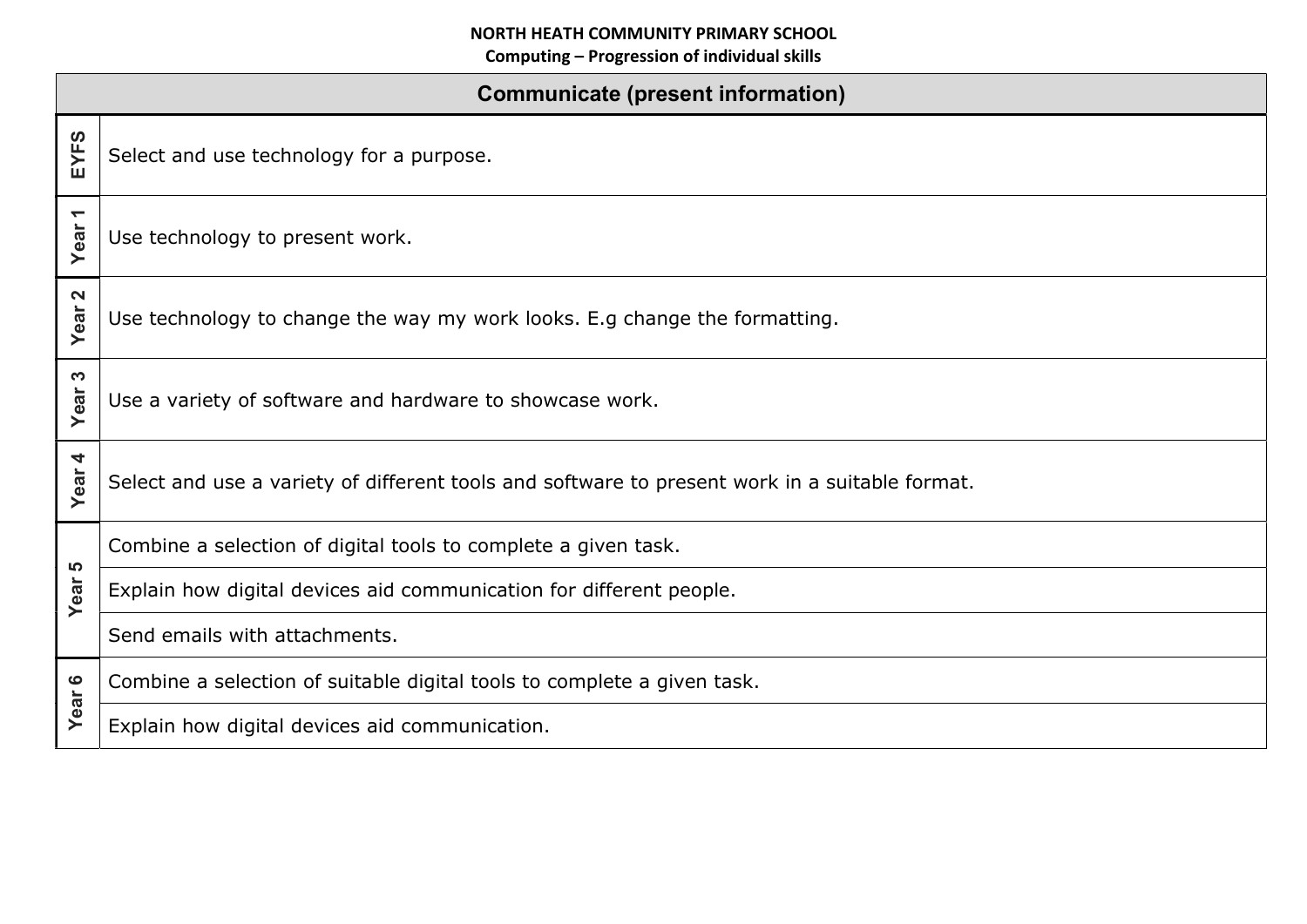| <b>Communicate (present information)</b> |                                                                                                |  |
|------------------------------------------|------------------------------------------------------------------------------------------------|--|
| EYFS                                     | Select and use technology for a purpose.                                                       |  |
| $\blacktriangledown$<br>Year             | Use technology to present work.                                                                |  |
| $\mathbf{\Omega}$<br>Year                | Use technology to change the way my work looks. E.g change the formatting.                     |  |
| က<br>Year                                | Use a variety of software and hardware to showcase work.                                       |  |
| 4<br>Year                                | Select and use a variety of different tools and software to present work in a suitable format. |  |
| <u> မ</u><br>Year                        | Combine a selection of digital tools to complete a given task.                                 |  |
|                                          | Explain how digital devices aid communication for different people.                            |  |
|                                          | Send emails with attachments.                                                                  |  |
| Year 6                                   | Combine a selection of suitable digital tools to complete a given task.                        |  |
|                                          | Explain how digital devices aid communication.                                                 |  |